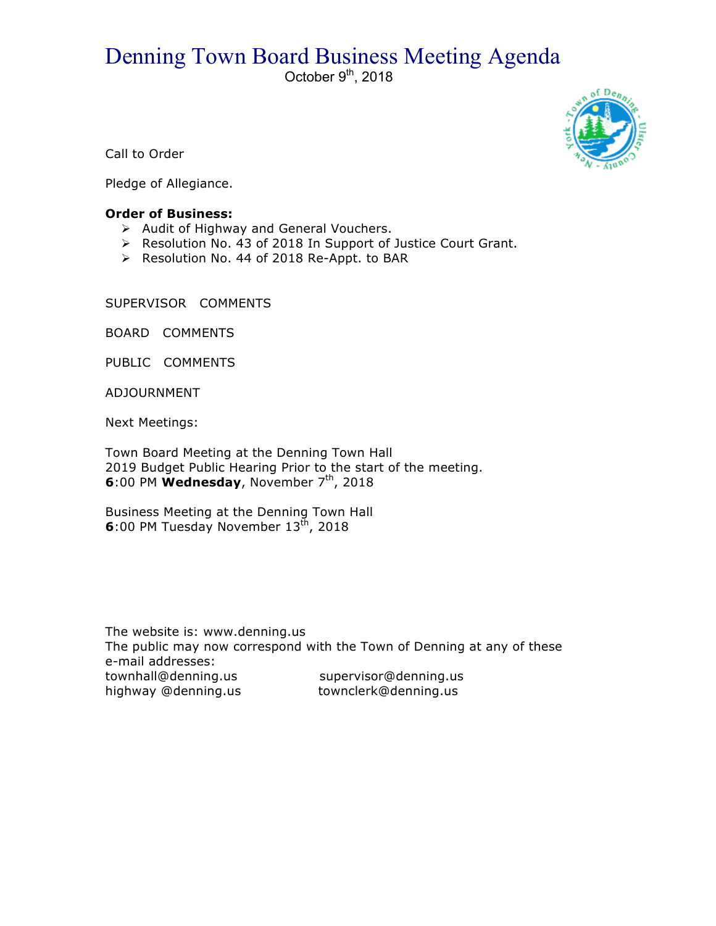## Denning Town Board Business Meeting Agenda

October  $9<sup>th</sup>$ , 2018



Call to Order

Pledge of Allegiance.

## **Order of Business:**

- $\triangleright$  Audit of Highway and General Vouchers.
- > Resolution No. 43 of 2018 In Support of Justice Court Grant.
- ▶ Resolution No. 44 of 2018 Re-Appt. to BAR

SUPERVISOR COMMENTS

BOARD COMMENTS

PUBLIC COMMENTS

ADJOURNMENT

Next Meetings:

Town Board Meeting at the Denning Town Hall 2019 Budget Public Hearing Prior to the start of the meeting. **6**:00 PM Wednesday, November 7<sup>th</sup>, 2018

Business Meeting at the Denning Town Hall **6**:00 PM Tuesday November 13<sup>th</sup>, 2018

The website is: www.denning.us The public may now correspond with the Town of Denning at any of these e-mail addresses: townhall@denning.us supervisor@denning.us highway @denning.us townclerk@denning.us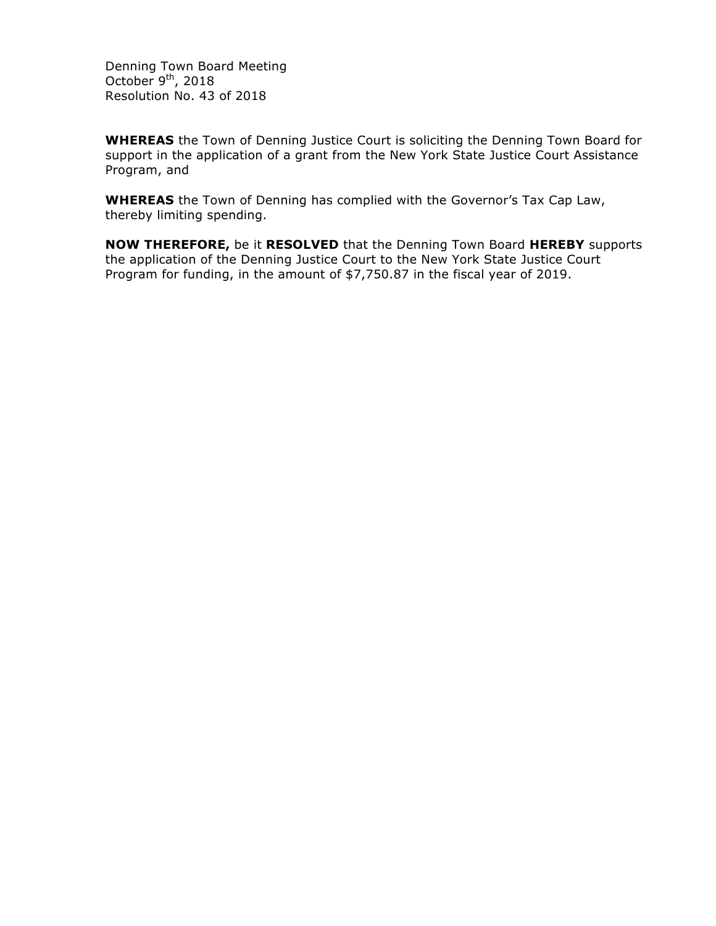Denning Town Board Meeting October  $9<sup>th</sup>$ , 2018 Resolution No. 43 of 2018

**WHEREAS** the Town of Denning Justice Court is soliciting the Denning Town Board for support in the application of a grant from the New York State Justice Court Assistance Program, and

**WHEREAS** the Town of Denning has complied with the Governor's Tax Cap Law, thereby limiting spending.

**NOW THEREFORE,** be it **RESOLVED** that the Denning Town Board **HEREBY** supports the application of the Denning Justice Court to the New York State Justice Court Program for funding, in the amount of \$7,750.87 in the fiscal year of 2019.